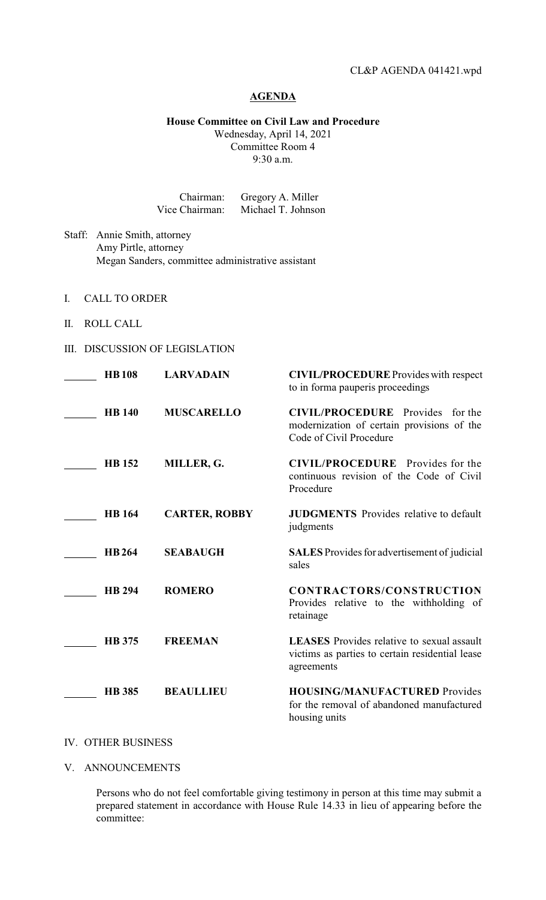## **AGENDA**

**House Committee on Civil Law and Procedure**

Wednesday, April 14, 2021 Committee Room 4 9:30 a.m.

| Chairman:      | Gregory A. Miller  |
|----------------|--------------------|
| Vice Chairman: | Michael T. Johnson |

Staff: Annie Smith, attorney Amy Pirtle, attorney Megan Sanders, committee administrative assistant

- I. CALL TO ORDER
- II. ROLL CALL
- III. DISCUSSION OF LEGISLATION

| <b>HB108</b>  | <b>LARVADAIN</b>     | <b>CIVIL/PROCEDURE</b> Provides with respect<br>to in forma pauperis proceedings                                   |
|---------------|----------------------|--------------------------------------------------------------------------------------------------------------------|
| <b>HB</b> 140 | <b>MUSCARELLO</b>    | <b>CIVIL/PROCEDURE</b> Provides for the<br>modernization of certain provisions of the<br>Code of Civil Procedure   |
| <b>HB</b> 152 | MILLER, G.           | <b>CIVIL/PROCEDURE</b> Provides for the<br>continuous revision of the Code of Civil<br>Procedure                   |
| <b>HB</b> 164 | <b>CARTER, ROBBY</b> | <b>JUDGMENTS</b> Provides relative to default<br>judgments                                                         |
| <b>HB264</b>  | <b>SEABAUGH</b>      | <b>SALES</b> Provides for advertisement of judicial<br>sales                                                       |
| <b>HB 294</b> | <b>ROMERO</b>        | <b>CONTRACTORS/CONSTRUCTION</b><br>Provides relative to the withholding of<br>retainage                            |
| <b>HB</b> 375 | <b>FREEMAN</b>       | <b>LEASES</b> Provides relative to sexual assault<br>victims as parties to certain residential lease<br>agreements |
| <b>HB</b> 385 | <b>BEAULLIEU</b>     | <b>HOUSING/MANUFACTURED Provides</b><br>for the removal of abandoned manufactured<br>housing units                 |

## IV. OTHER BUSINESS

V. ANNOUNCEMENTS

Persons who do not feel comfortable giving testimony in person at this time may submit a prepared statement in accordance with House Rule 14.33 in lieu of appearing before the committee: